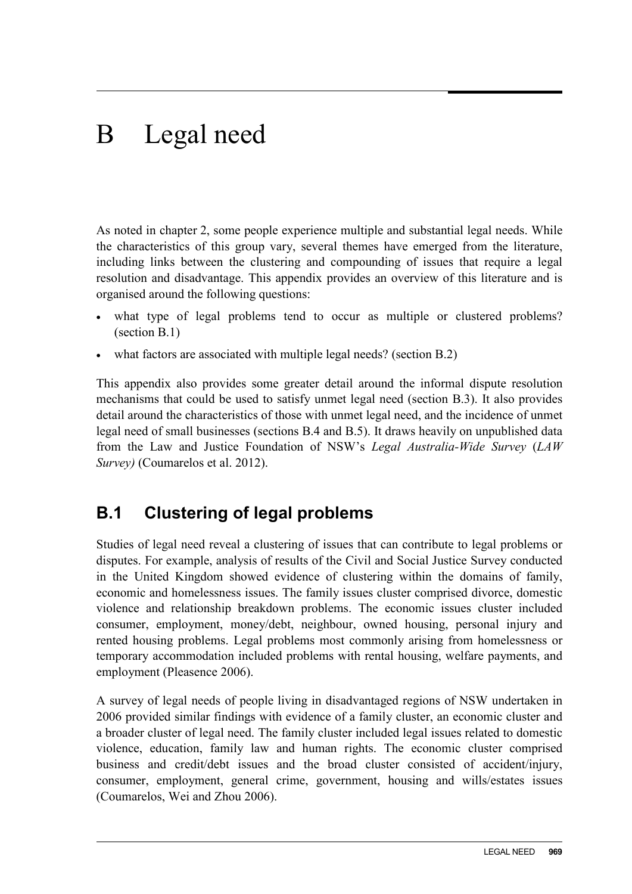# B Legal need

As noted in chapter 2, some people experience multiple and substantial legal needs. While the characteristics of this group vary, several themes have emerged from the literature, including links between the clustering and compounding of issues that require a legal resolution and disadvantage. This appendix provides an overview of this literature and is organised around the following questions:

- what type of legal problems tend to occur as multiple or clustered problems? (section B.1)
- what factors are associated with multiple legal needs? (section B.2)

This appendix also provides some greater detail around the informal dispute resolution mechanisms that could be used to satisfy unmet legal need (section B.3). It also provides detail around the characteristics of those with unmet legal need, and the incidence of unmet legal need of small businesses (sections B.4 and B.5). It draws heavily on unpublished data from the Law and Justice Foundation of NSW's *Legal Australia-Wide Survey* (*LAW Survey)* (Coumarelos et al. 2012).

## **B.1 Clustering of legal problems**

Studies of legal need reveal a clustering of issues that can contribute to legal problems or disputes. For example, analysis of results of the Civil and Social Justice Survey conducted in the United Kingdom showed evidence of clustering within the domains of family, economic and homelessness issues. The family issues cluster comprised divorce, domestic violence and relationship breakdown problems. The economic issues cluster included consumer, employment, money/debt, neighbour, owned housing, personal injury and rented housing problems. Legal problems most commonly arising from homelessness or temporary accommodation included problems with rental housing, welfare payments, and employment (Pleasence 2006).

<span id="page-0-0"></span>A survey of legal needs of people living in disadvantaged regions of NSW undertaken in 2006 provided similar findings with evidence of a family cluster, an economic cluster and a broader cluster of legal need. The family cluster included legal issues related to domestic violence, education, family law and human rights. The economic cluster comprised business and credit/debt issues and the broad cluster consisted of accident/injury, consumer, employment, general crime, government, housing and wills/estates issues (Coumarelos, Wei and Zhou 2006).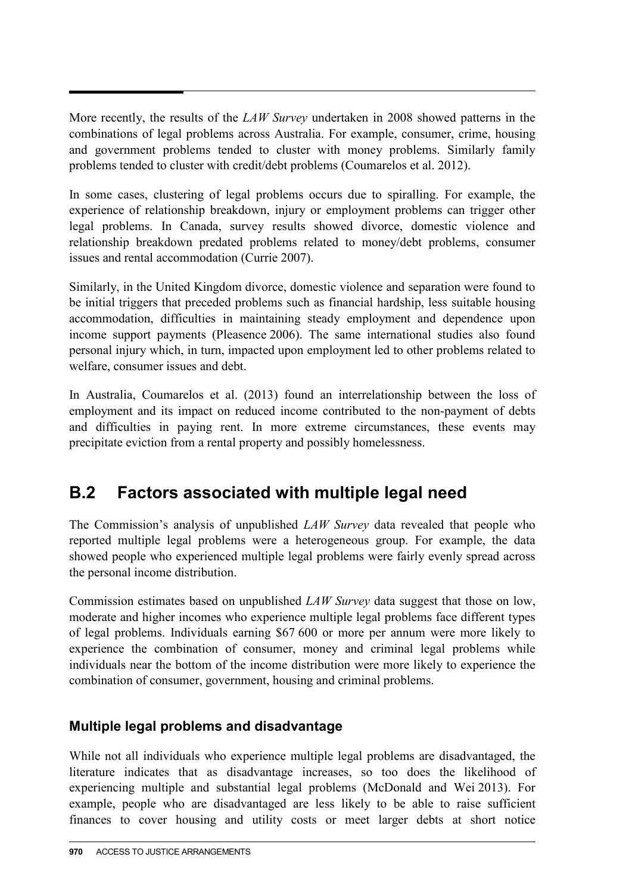More recently, the results of the *LAW Survey* undertaken in 2008 showed patterns in the combinations of legal problems across Australia. For example, consumer, crime, housing and government problems tended to cluster with money problems. Similarly family problems tended to cluster with credit/debt problems (Coumarelos et al. 2012).

In some cases, clustering of legal problems occurs due to spiralling. For example, the experience of relationship breakdown, injury or employment problems can trigger other legal problems. In Canada, survey results showed divorce, domestic violence and relationship breakdown predated problems related to money/debt problems, consumer issues and rental accommodation (Currie 2007).

Similarly, in the United Kingdom divorce, domestic violence and separation were found to be initial triggers that preceded problems such as financial hardship, less suitable housing accommodation, difficulties in maintaining steady employment and dependence upon income support payments (Pleasence 2006). The same international studies also found personal injury which, in turn, impacted upon employment led to other problems related to welfare, consumer issues and debt.

In Australia, Coumarelos et al. (2013) found an interrelationship between the loss of employment and its impact on reduced income contributed to the non-payment of debts and difficulties in paying rent. In more extreme circumstances, these events may precipitate eviction from a rental property and possibly homelessness.

## **B.2 Factors associated with multiple legal need**

The Commission's analysis of unpublished *LAW Survey* data revealed that people who reported multiple legal problems were a heterogeneous group. For example, the data showed people who experienced multiple legal problems were fairly evenly spread across the personal income distribution.

Commission estimates based on unpublished *LAW Survey* data suggest that those on low, moderate and higher incomes who experience multiple legal problems face different types of legal problems. Individuals earning \$67 600 or more per annum were more likely to experience the combination of consumer, money and criminal legal problems while individuals near the bottom of the income distribution were more likely to experience the combination of consumer, government, housing and criminal problems.

### **Multiple legal problems and disadvantage**

While not all individuals who experience multiple legal problems are disadvantaged, the literature indicates that as disadvantage increases, so too does the likelihood of experiencing multiple and substantial legal problems (McDonald and Wei 2013). For example, people who are disadvantaged are less likely to be able to raise sufficient finances to cover housing and utility costs or meet larger debts at short notice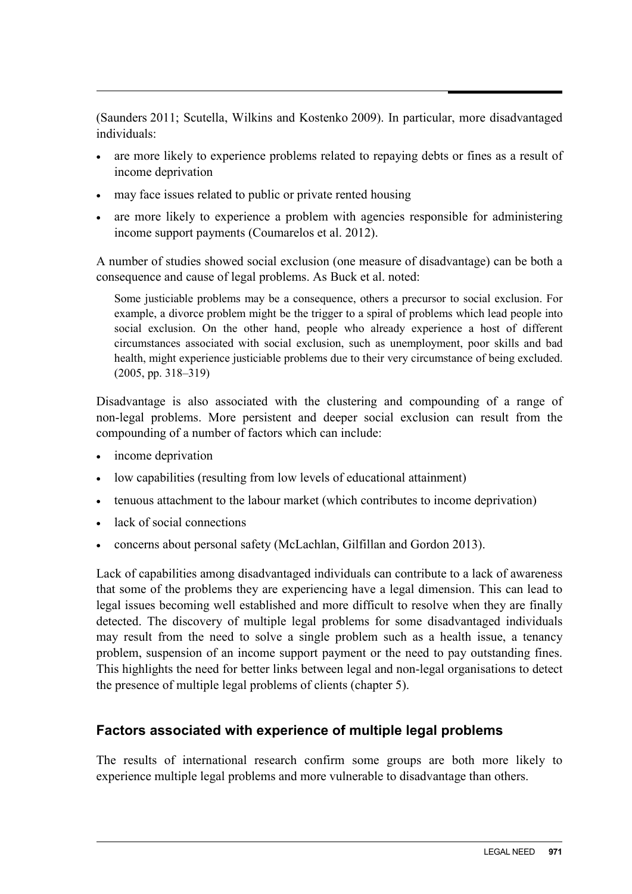(Saunders 2011; Scutella, Wilkins and Kostenko 2009). In particular, more disadvantaged individuals:

- are more likely to experience problems related to repaying debts or fines as a result of income deprivation
- may face issues related to public or private rented housing
- are more likely to experience a problem with agencies responsible for administering income support payments (Coumarelos et al. 2012).

A number of studies showed social exclusion (one measure of disadvantage) can be both a consequence and cause of legal problems. As Buck et al. noted:

Some justiciable problems may be a consequence, others a precursor to social exclusion. For example, a divorce problem might be the trigger to a spiral of problems which lead people into social exclusion. On the other hand, people who already experience a host of different circumstances associated with social exclusion, such as unemployment, poor skills and bad health, might experience justiciable problems due to their very circumstance of being excluded. (2005, pp. 318–319)

Disadvantage is also associated with the clustering and compounding of a range of non-legal problems. More persistent and deeper social exclusion can result from the compounding of a number of factors which can include:

- income deprivation
- low capabilities (resulting from low levels of educational attainment)
- tenuous attachment to the labour market (which contributes to income deprivation)
- lack of social connections
- concerns about personal safety (McLachlan, Gilfillan and Gordon 2013).

Lack of capabilities among disadvantaged individuals can contribute to a lack of awareness that some of the problems they are experiencing have a legal dimension. This can lead to legal issues becoming well established and more difficult to resolve when they are finally detected. The discovery of multiple legal problems for some disadvantaged individuals may result from the need to solve a single problem such as a health issue, a tenancy problem, suspension of an income support payment or the need to pay outstanding fines. This highlights the need for better links between legal and non-legal organisations to detect the presence of multiple legal problems of clients (chapter 5).

#### **Factors associated with experience of multiple legal problems**

The results of international research confirm some groups are both more likely to experience multiple legal problems and more vulnerable to disadvantage than others.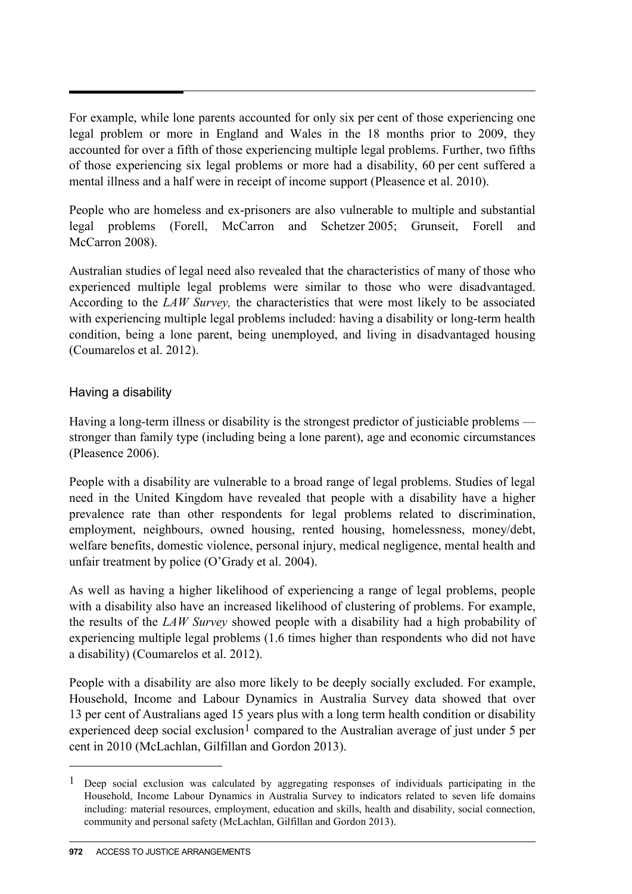For example, while lone parents accounted for only six per cent of those experiencing one legal problem or more in England and Wales in the 18 months prior to 2009, they accounted for over a fifth of those experiencing multiple legal problems. Further, two fifths of those experiencing six legal problems or more had a disability, 60 per cent suffered a mental illness and a half were in receipt of income support (Pleasence et al. 2010).

People who are homeless and ex-prisoners are also vulnerable to multiple and substantial legal problems (Forell, McCarron and Schetzer 2005; Grunseit, Forell and McCarron 2008).

Australian studies of legal need also revealed that the characteristics of many of those who experienced multiple legal problems were similar to those who were disadvantaged. According to the *LAW Survey,* the characteristics that were most likely to be associated with experiencing multiple legal problems included: having a disability or long-term health condition, being a lone parent, being unemployed, and living in disadvantaged housing (Coumarelos et al. 2012).

#### Having a disability

Having a long-term illness or disability is the strongest predictor of justiciable problems stronger than family type (including being a lone parent), age and economic circumstances (Pleasence 2006).

People with a disability are vulnerable to a broad range of legal problems. Studies of legal need in the United Kingdom have revealed that people with a disability have a higher prevalence rate than other respondents for legal problems related to discrimination, employment, neighbours, owned housing, rented housing, homelessness, money/debt, welfare benefits, domestic violence, personal injury, medical negligence, mental health and unfair treatment by police (O'Grady et al. 2004).

As well as having a higher likelihood of experiencing a range of legal problems, people with a disability also have an increased likelihood of clustering of problems. For example, the results of the *LAW Survey* showed people with a disability had a high probability of experiencing multiple legal problems (1.6 times higher than respondents who did not have a disability) (Coumarelos et al. 2012).

People with a disability are also more likely to be deeply socially excluded. For example, Household, Income and Labour Dynamics in Australia Survey data showed that over 13 per cent of Australians aged 15 years plus with a long term health condition or disability experienced deep social exclusion<sup>[1](#page-0-0)</sup> compared to the Australian average of just under 5 per cent in 2010 (McLachlan, Gilfillan and Gordon 2013).

 $\overline{a}$ 

<span id="page-3-0"></span><sup>1</sup> Deep social exclusion was calculated by aggregating responses of individuals participating in the Household, Income Labour Dynamics in Australia Survey to indicators related to seven life domains including: material resources, employment, education and skills, health and disability, social connection, community and personal safety (McLachlan, Gilfillan and Gordon 2013).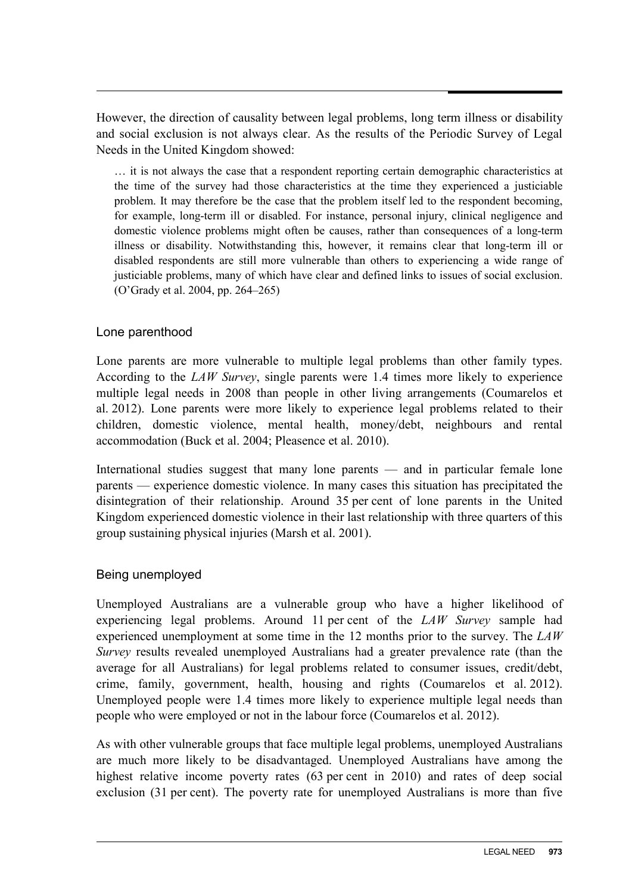However, the direction of causality between legal problems, long term illness or disability and social exclusion is not always clear. As the results of the Periodic Survey of Legal Needs in the United Kingdom showed:

… it is not always the case that a respondent reporting certain demographic characteristics at the time of the survey had those characteristics at the time they experienced a justiciable problem. It may therefore be the case that the problem itself led to the respondent becoming, for example, long-term ill or disabled. For instance, personal injury, clinical negligence and domestic violence problems might often be causes, rather than consequences of a long-term illness or disability. Notwithstanding this, however, it remains clear that long-term ill or disabled respondents are still more vulnerable than others to experiencing a wide range of justiciable problems, many of which have clear and defined links to issues of social exclusion. (O'Grady et al. 2004, pp. 264–265)

#### Lone parenthood

Lone parents are more vulnerable to multiple legal problems than other family types. According to the *LAW Survey*, single parents were 1.4 times more likely to experience multiple legal needs in 2008 than people in other living arrangements (Coumarelos et al. 2012). Lone parents were more likely to experience legal problems related to their children, domestic violence, mental health, money/debt, neighbours and rental accommodation (Buck et al. 2004; Pleasence et al. 2010).

International studies suggest that many lone parents — and in particular female lone parents — experience domestic violence. In many cases this situation has precipitated the disintegration of their relationship. Around 35 per cent of lone parents in the United Kingdom experienced domestic violence in their last relationship with three quarters of this group sustaining physical injuries (Marsh et al. 2001).

#### Being unemployed

Unemployed Australians are a vulnerable group who have a higher likelihood of experiencing legal problems. Around 11 per cent of the *LAW Survey* sample had experienced unemployment at some time in the 12 months prior to the survey. The *LAW Survey* results revealed unemployed Australians had a greater prevalence rate (than the average for all Australians) for legal problems related to consumer issues, credit/debt, crime, family, government, health, housing and rights (Coumarelos et al. 2012). Unemployed people were 1.4 times more likely to experience multiple legal needs than people who were employed or not in the labour force (Coumarelos et al. 2012).

As with other vulnerable groups that face multiple legal problems, unemployed Australians are much more likely to be disadvantaged. Unemployed Australians have among the highest relative income poverty rates (63 per cent in 2010) and rates of deep social exclusion (31 per cent). The poverty rate for unemployed Australians is more than five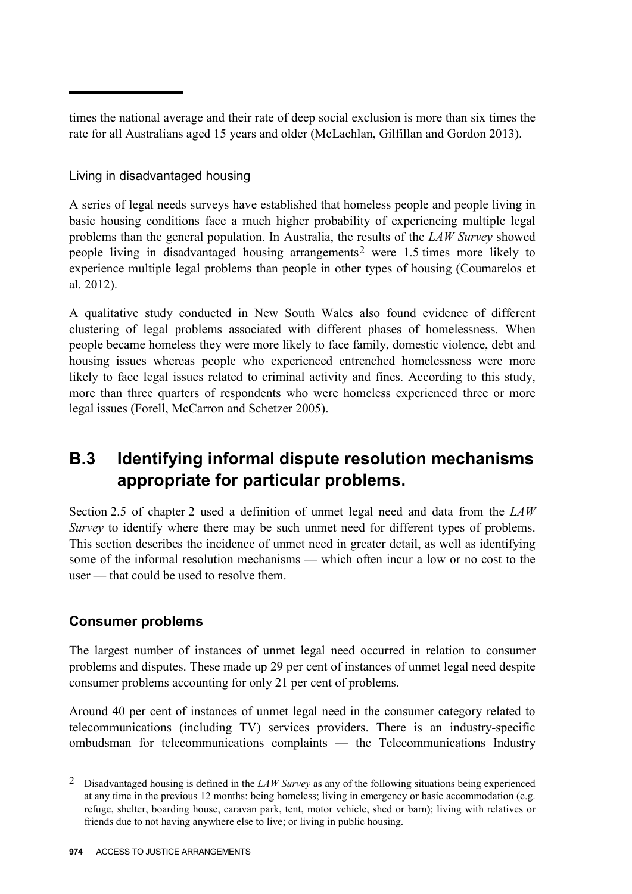times the national average and their rate of deep social exclusion is more than six times the rate for all Australians aged 15 years and older (McLachlan, Gilfillan and Gordon 2013).

#### Living in disadvantaged housing

A series of legal needs surveys have established that homeless people and people living in basic housing conditions face a much higher probability of experiencing multiple legal problems than the general population. In Australia, the results of the *LAW Survey* showed people living in disadvantaged housing arrangements[2](#page-3-0) were 1.5 times more likely to experience multiple legal problems than people in other types of housing (Coumarelos et al. 2012).

A qualitative study conducted in New South Wales also found evidence of different clustering of legal problems associated with different phases of homelessness. When people became homeless they were more likely to face family, domestic violence, debt and housing issues whereas people who experienced entrenched homelessness were more likely to face legal issues related to criminal activity and fines. According to this study, more than three quarters of respondents who were homeless experienced three or more legal issues (Forell, McCarron and Schetzer 2005).

## **B.3 Identifying informal dispute resolution mechanisms appropriate for particular problems.**

Section 2.5 of chapter 2 used a definition of unmet legal need and data from the *LAW Survey* to identify where there may be such unmet need for different types of problems. This section describes the incidence of unmet need in greater detail, as well as identifying some of the informal resolution mechanisms — which often incur a low or no cost to the user — that could be used to resolve them.

#### **Consumer problems**

 $\overline{a}$ 

The largest number of instances of unmet legal need occurred in relation to consumer problems and disputes. These made up 29 per cent of instances of unmet legal need despite consumer problems accounting for only 21 per cent of problems.

Around 40 per cent of instances of unmet legal need in the consumer category related to telecommunications (including TV) services providers. There is an industry-specific ombudsman for telecommunications complaints — the Telecommunications Industry

<span id="page-5-0"></span><sup>2</sup> Disadvantaged housing is defined in the *LAW Survey* as any of the following situations being experienced at any time in the previous 12 months: being homeless; living in emergency or basic accommodation (e.g. refuge, shelter, boarding house, caravan park, tent, motor vehicle, shed or barn); living with relatives or friends due to not having anywhere else to live; or living in public housing.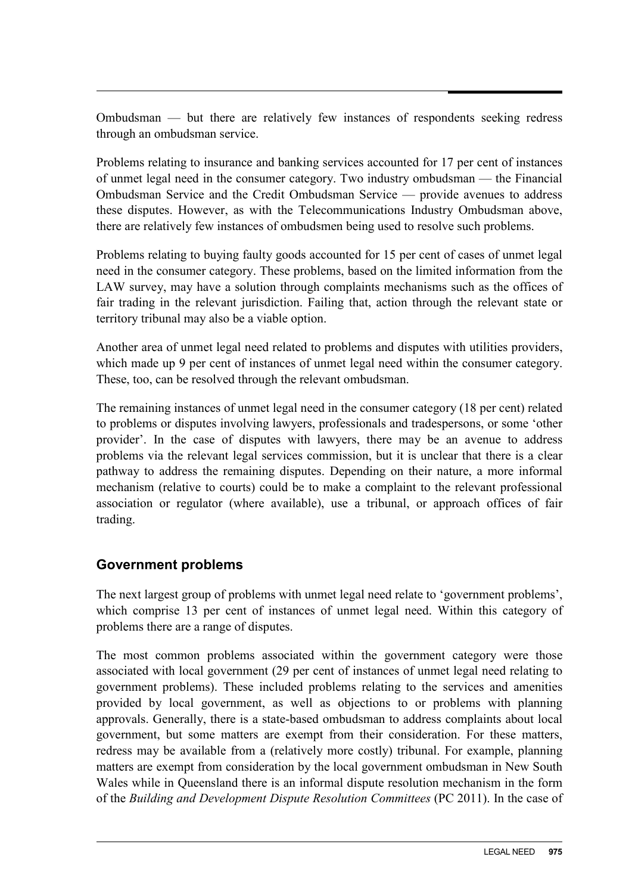Ombudsman — but there are relatively few instances of respondents seeking redress through an ombudsman service.

Problems relating to insurance and banking services accounted for 17 per cent of instances of unmet legal need in the consumer category. Two industry ombudsman — the Financial Ombudsman Service and the Credit Ombudsman Service — provide avenues to address these disputes. However, as with the Telecommunications Industry Ombudsman above, there are relatively few instances of ombudsmen being used to resolve such problems.

Problems relating to buying faulty goods accounted for 15 per cent of cases of unmet legal need in the consumer category. These problems, based on the limited information from the LAW survey, may have a solution through complaints mechanisms such as the offices of fair trading in the relevant jurisdiction. Failing that, action through the relevant state or territory tribunal may also be a viable option.

Another area of unmet legal need related to problems and disputes with utilities providers, which made up 9 per cent of instances of unmet legal need within the consumer category. These, too, can be resolved through the relevant ombudsman.

The remaining instances of unmet legal need in the consumer category (18 per cent) related to problems or disputes involving lawyers, professionals and tradespersons, or some 'other provider'. In the case of disputes with lawyers, there may be an avenue to address problems via the relevant legal services commission, but it is unclear that there is a clear pathway to address the remaining disputes. Depending on their nature, a more informal mechanism (relative to courts) could be to make a complaint to the relevant professional association or regulator (where available), use a tribunal, or approach offices of fair trading.

#### **Government problems**

The next largest group of problems with unmet legal need relate to 'government problems', which comprise 13 per cent of instances of unmet legal need. Within this category of problems there are a range of disputes.

The most common problems associated within the government category were those associated with local government (29 per cent of instances of unmet legal need relating to government problems). These included problems relating to the services and amenities provided by local government, as well as objections to or problems with planning approvals. Generally, there is a state-based ombudsman to address complaints about local government, but some matters are exempt from their consideration. For these matters, redress may be available from a (relatively more costly) tribunal. For example, planning matters are exempt from consideration by the local government ombudsman in New South Wales while in Queensland there is an informal dispute resolution mechanism in the form of the *Building and Development Dispute Resolution Committees* (PC 2011). In the case of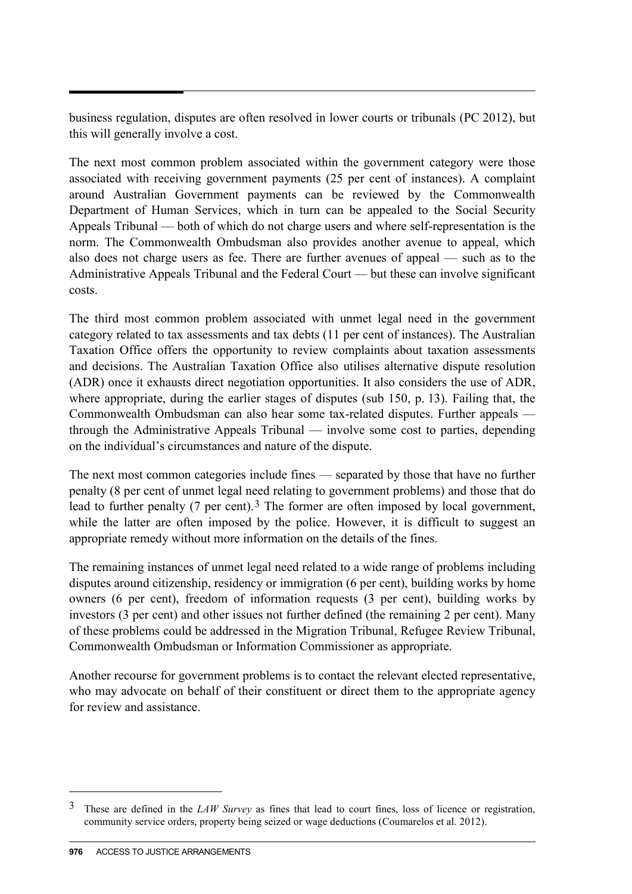business regulation, disputes are often resolved in lower courts or tribunals (PC 2012), but this will generally involve a cost.

The next most common problem associated within the government category were those associated with receiving government payments (25 per cent of instances). A complaint around Australian Government payments can be reviewed by the Commonwealth Department of Human Services, which in turn can be appealed to the Social Security Appeals Tribunal — both of which do not charge users and where self-representation is the norm. The Commonwealth Ombudsman also provides another avenue to appeal, which also does not charge users as fee. There are further avenues of appeal — such as to the Administrative Appeals Tribunal and the Federal Court — but these can involve significant costs.

The third most common problem associated with unmet legal need in the government category related to tax assessments and tax debts (11 per cent of instances). The Australian Taxation Office offers the opportunity to review complaints about taxation assessments and decisions. The Australian Taxation Office also utilises alternative dispute resolution (ADR) once it exhausts direct negotiation opportunities. It also considers the use of ADR, where appropriate, during the earlier stages of disputes (sub 150, p. 13). Failing that, the Commonwealth Ombudsman can also hear some tax-related disputes. Further appeals through the Administrative Appeals Tribunal — involve some cost to parties, depending on the individual's circumstances and nature of the dispute.

The next most common categories include fines — separated by those that have no further penalty (8 per cent of unmet legal need relating to government problems) and those that do lead to further penalty (7 per cent).<sup>[3](#page-5-0)</sup> The former are often imposed by local government, while the latter are often imposed by the police. However, it is difficult to suggest an appropriate remedy without more information on the details of the fines.

The remaining instances of unmet legal need related to a wide range of problems including disputes around citizenship, residency or immigration (6 per cent), building works by home owners (6 per cent), freedom of information requests (3 per cent), building works by investors (3 per cent) and other issues not further defined (the remaining 2 per cent). Many of these problems could be addressed in the Migration Tribunal, Refugee Review Tribunal, Commonwealth Ombudsman or Information Commissioner as appropriate.

Another recourse for government problems is to contact the relevant elected representative, who may advocate on behalf of their constituent or direct them to the appropriate agency for review and assistance.

 $\overline{a}$ 

<sup>3</sup> These are defined in the *LAW Survey* as fines that lead to court fines, loss of licence or registration, community service orders, property being seized or wage deductions (Coumarelos et al. 2012).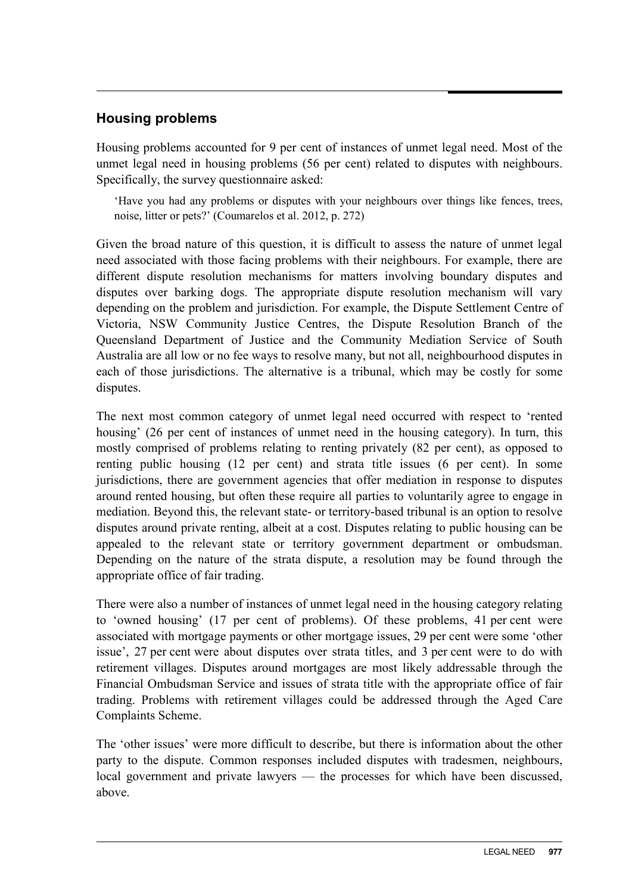#### **Housing problems**

Housing problems accounted for 9 per cent of instances of unmet legal need. Most of the unmet legal need in housing problems (56 per cent) related to disputes with neighbours. Specifically, the survey questionnaire asked:

'Have you had any problems or disputes with your neighbours over things like fences, trees, noise, litter or pets?' (Coumarelos et al. 2012, p. 272)

Given the broad nature of this question, it is difficult to assess the nature of unmet legal need associated with those facing problems with their neighbours. For example, there are different dispute resolution mechanisms for matters involving boundary disputes and disputes over barking dogs. The appropriate dispute resolution mechanism will vary depending on the problem and jurisdiction. For example, the Dispute Settlement Centre of Victoria, NSW Community Justice Centres, the Dispute Resolution Branch of the Queensland Department of Justice and the Community Mediation Service of South Australia are all low or no fee ways to resolve many, but not all, neighbourhood disputes in each of those jurisdictions. The alternative is a tribunal, which may be costly for some disputes.

The next most common category of unmet legal need occurred with respect to 'rented housing' (26 per cent of instances of unmet need in the housing category). In turn, this mostly comprised of problems relating to renting privately (82 per cent), as opposed to renting public housing (12 per cent) and strata title issues (6 per cent). In some jurisdictions, there are government agencies that offer mediation in response to disputes around rented housing, but often these require all parties to voluntarily agree to engage in mediation. Beyond this, the relevant state- or territory-based tribunal is an option to resolve disputes around private renting, albeit at a cost. Disputes relating to public housing can be appealed to the relevant state or territory government department or ombudsman. Depending on the nature of the strata dispute, a resolution may be found through the appropriate office of fair trading.

There were also a number of instances of unmet legal need in the housing category relating to 'owned housing' (17 per cent of problems). Of these problems, 41 per cent were associated with mortgage payments or other mortgage issues, 29 per cent were some 'other issue', 27 per cent were about disputes over strata titles, and 3 per cent were to do with retirement villages. Disputes around mortgages are most likely addressable through the Financial Ombudsman Service and issues of strata title with the appropriate office of fair trading. Problems with retirement villages could be addressed through the Aged Care Complaints Scheme.

The 'other issues' were more difficult to describe, but there is information about the other party to the dispute. Common responses included disputes with tradesmen, neighbours, local government and private lawyers — the processes for which have been discussed, above.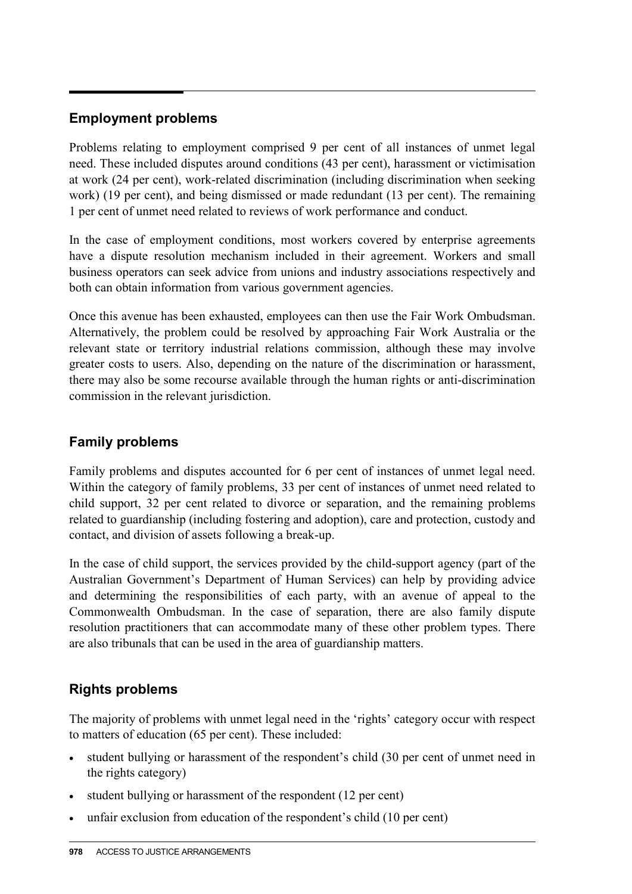#### **Employment problems**

Problems relating to employment comprised 9 per cent of all instances of unmet legal need. These included disputes around conditions (43 per cent), harassment or victimisation at work (24 per cent), work-related discrimination (including discrimination when seeking work) (19 per cent), and being dismissed or made redundant (13 per cent). The remaining 1 per cent of unmet need related to reviews of work performance and conduct.

In the case of employment conditions, most workers covered by enterprise agreements have a dispute resolution mechanism included in their agreement. Workers and small business operators can seek advice from unions and industry associations respectively and both can obtain information from various government agencies.

Once this avenue has been exhausted, employees can then use the Fair Work Ombudsman. Alternatively, the problem could be resolved by approaching Fair Work Australia or the relevant state or territory industrial relations commission, although these may involve greater costs to users. Also, depending on the nature of the discrimination or harassment, there may also be some recourse available through the human rights or anti-discrimination commission in the relevant jurisdiction.

#### **Family problems**

Family problems and disputes accounted for 6 per cent of instances of unmet legal need. Within the category of family problems, 33 per cent of instances of unmet need related to child support, 32 per cent related to divorce or separation, and the remaining problems related to guardianship (including fostering and adoption), care and protection, custody and contact, and division of assets following a break-up.

In the case of child support, the services provided by the child-support agency (part of the Australian Government's Department of Human Services) can help by providing advice and determining the responsibilities of each party, with an avenue of appeal to the Commonwealth Ombudsman. In the case of separation, there are also family dispute resolution practitioners that can accommodate many of these other problem types. There are also tribunals that can be used in the area of guardianship matters.

### **Rights problems**

The majority of problems with unmet legal need in the 'rights' category occur with respect to matters of education (65 per cent). These included:

- student bullying or harassment of the respondent's child (30 per cent of unmet need in the rights category)
- student bullying or harassment of the respondent (12 per cent)
- unfair exclusion from education of the respondent's child (10 per cent)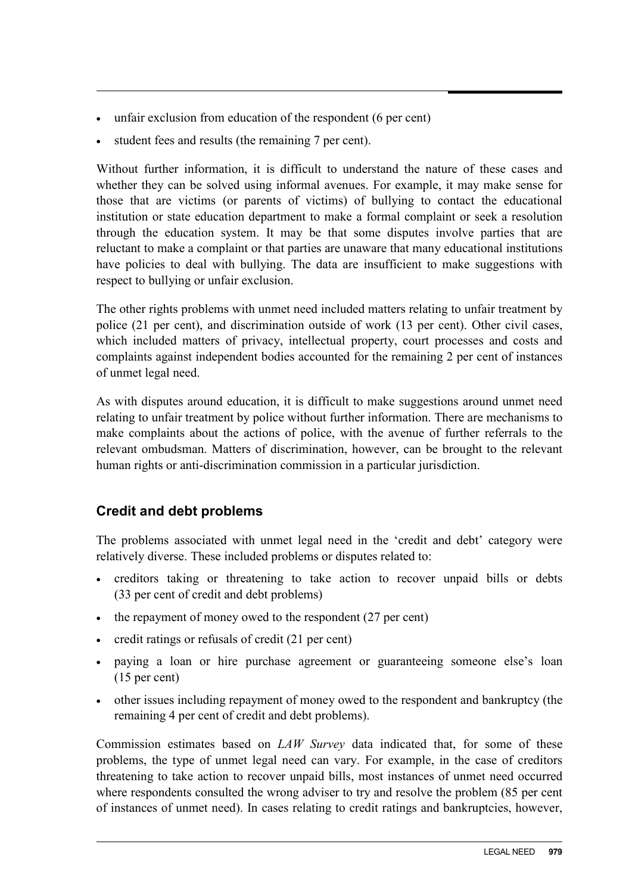- unfair exclusion from education of the respondent (6 per cent)
- student fees and results (the remaining 7 per cent).

Without further information, it is difficult to understand the nature of these cases and whether they can be solved using informal avenues. For example, it may make sense for those that are victims (or parents of victims) of bullying to contact the educational institution or state education department to make a formal complaint or seek a resolution through the education system. It may be that some disputes involve parties that are reluctant to make a complaint or that parties are unaware that many educational institutions have policies to deal with bullying. The data are insufficient to make suggestions with respect to bullying or unfair exclusion.

The other rights problems with unmet need included matters relating to unfair treatment by police (21 per cent), and discrimination outside of work (13 per cent). Other civil cases, which included matters of privacy, intellectual property, court processes and costs and complaints against independent bodies accounted for the remaining 2 per cent of instances of unmet legal need.

As with disputes around education, it is difficult to make suggestions around unmet need relating to unfair treatment by police without further information. There are mechanisms to make complaints about the actions of police, with the avenue of further referrals to the relevant ombudsman. Matters of discrimination, however, can be brought to the relevant human rights or anti-discrimination commission in a particular jurisdiction.

#### **Credit and debt problems**

The problems associated with unmet legal need in the 'credit and debt' category were relatively diverse. These included problems or disputes related to:

- creditors taking or threatening to take action to recover unpaid bills or debts (33 per cent of credit and debt problems)
- the repayment of money owed to the respondent (27 per cent)
- credit ratings or refusals of credit (21 per cent)
- paying a loan or hire purchase agreement or guaranteeing someone else's loan (15 per cent)
- other issues including repayment of money owed to the respondent and bankruptcy (the remaining 4 per cent of credit and debt problems).

Commission estimates based on *LAW Survey* data indicated that, for some of these problems, the type of unmet legal need can vary. For example, in the case of creditors threatening to take action to recover unpaid bills, most instances of unmet need occurred where respondents consulted the wrong adviser to try and resolve the problem (85 per cent of instances of unmet need). In cases relating to credit ratings and bankruptcies, however,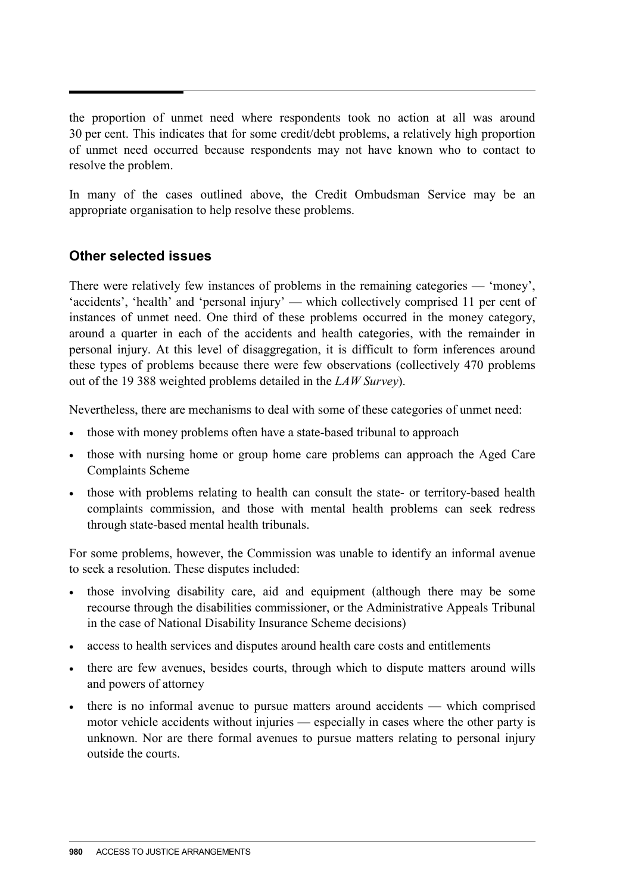the proportion of unmet need where respondents took no action at all was around 30 per cent. This indicates that for some credit/debt problems, a relatively high proportion of unmet need occurred because respondents may not have known who to contact to resolve the problem.

In many of the cases outlined above, the Credit Ombudsman Service may be an appropriate organisation to help resolve these problems.

#### **Other selected issues**

There were relatively few instances of problems in the remaining categories — 'money', 'accidents', 'health' and 'personal injury' — which collectively comprised 11 per cent of instances of unmet need. One third of these problems occurred in the money category, around a quarter in each of the accidents and health categories, with the remainder in personal injury. At this level of disaggregation, it is difficult to form inferences around these types of problems because there were few observations (collectively 470 problems out of the 19 388 weighted problems detailed in the *LAW Survey*).

Nevertheless, there are mechanisms to deal with some of these categories of unmet need:

- those with money problems often have a state-based tribunal to approach
- those with nursing home or group home care problems can approach the Aged Care Complaints Scheme
- those with problems relating to health can consult the state- or territory-based health complaints commission, and those with mental health problems can seek redress through state-based mental health tribunals.

For some problems, however, the Commission was unable to identify an informal avenue to seek a resolution. These disputes included:

- those involving disability care, aid and equipment (although there may be some recourse through the disabilities commissioner, or the Administrative Appeals Tribunal in the case of National Disability Insurance Scheme decisions)
- access to health services and disputes around health care costs and entitlements
- there are few avenues, besides courts, through which to dispute matters around wills and powers of attorney
- there is no informal avenue to pursue matters around accidents which comprised motor vehicle accidents without injuries — especially in cases where the other party is unknown. Nor are there formal avenues to pursue matters relating to personal injury outside the courts.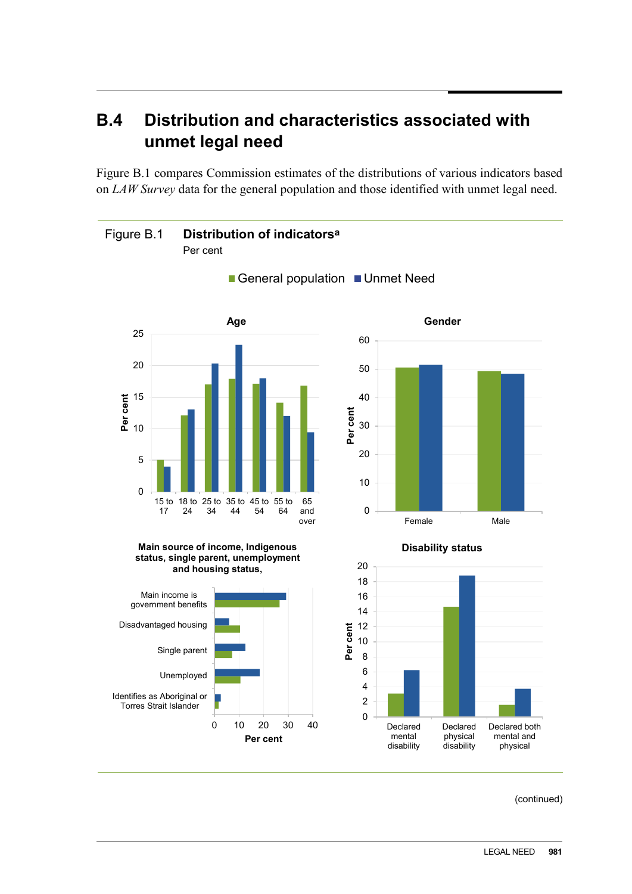## **B.4 Distribution and characteristics associated with unmet legal need**

Figure B.1 compares Commission estimates of the distributions of various indicators based on *LAW Survey* data for the general population and those identified with unmet legal need.



(continued)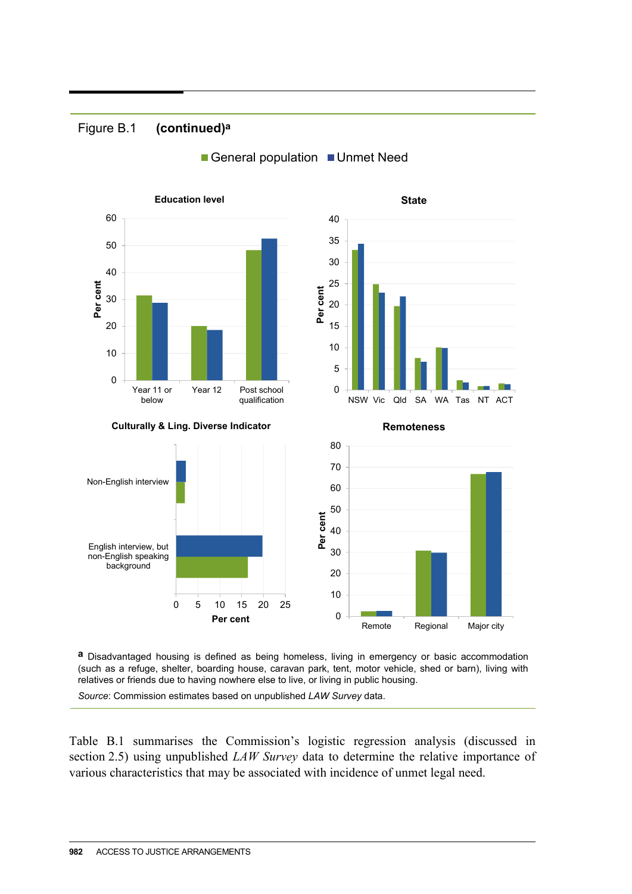#### Figure B.1 **(continued)a**





**a** Disadvantaged housing is defined as being homeless, living in emergency or basic accommodation (such as a refuge, shelter, boarding house, caravan park, tent, motor vehicle, shed or barn), living with relatives or friends due to having nowhere else to live, or living in public housing.

*Source*: Commission estimates based on unpublished *LAW Survey* data.

Table B.1 summarises the Commission's logistic regression analysis (discussed in section 2.5) using unpublished *LAW Survey* data to determine the relative importance of various characteristics that may be associated with incidence of unmet legal need.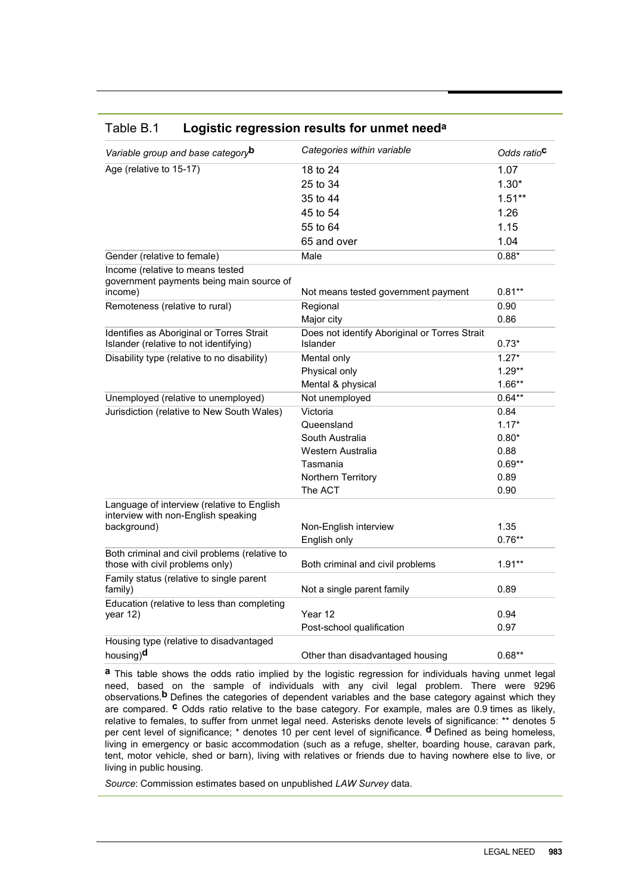| Variable group and base category <sup>b</sup>                                       | Categories within variable                                | Odds ratio <sup>c</sup> |  |  |
|-------------------------------------------------------------------------------------|-----------------------------------------------------------|-------------------------|--|--|
| Age (relative to 15-17)                                                             | 18 to 24                                                  | 1.07                    |  |  |
|                                                                                     | 25 to 34                                                  | $1.30*$                 |  |  |
|                                                                                     | 35 to 44                                                  | $1.51**$                |  |  |
|                                                                                     | 45 to 54                                                  | 1.26                    |  |  |
|                                                                                     | 55 to 64                                                  | 1.15                    |  |  |
|                                                                                     | 65 and over                                               | 1.04                    |  |  |
| Gender (relative to female)                                                         | Male                                                      | $0.88*$                 |  |  |
| Income (relative to means tested<br>government payments being main source of        |                                                           |                         |  |  |
| income)                                                                             | Not means tested government payment                       | $0.81***$               |  |  |
| Remoteness (relative to rural)                                                      | Regional                                                  | 0.90                    |  |  |
|                                                                                     | Major city                                                | 0.86                    |  |  |
| Identifies as Aboriginal or Torres Strait<br>Islander (relative to not identifying) | Does not identify Aboriginal or Torres Strait<br>Islander | $0.73*$                 |  |  |
| Disability type (relative to no disability)                                         | Mental only                                               | $1.27*$                 |  |  |
|                                                                                     | Physical only                                             | $1.29**$                |  |  |
|                                                                                     | Mental & physical                                         | $1.66**$                |  |  |
| Unemployed (relative to unemployed)                                                 | Not unemployed                                            |                         |  |  |
| Jurisdiction (relative to New South Wales)                                          | Victoria                                                  | 0.84                    |  |  |
|                                                                                     | Queensland                                                | $1.17*$                 |  |  |
|                                                                                     | South Australia                                           | $0.80*$                 |  |  |
|                                                                                     | Western Australia                                         | 0.88                    |  |  |
|                                                                                     | Tasmania                                                  | $0.69**$                |  |  |
|                                                                                     | Northern Territory                                        | 0.89                    |  |  |
|                                                                                     | The ACT                                                   | 0.90                    |  |  |
| Language of interview (relative to English<br>interview with non-English speaking   |                                                           |                         |  |  |
| background)                                                                         | Non-English interview                                     | 1.35                    |  |  |
|                                                                                     | English only                                              | $0.76**$                |  |  |
| Both criminal and civil problems (relative to<br>those with civil problems only)    | Both criminal and civil problems                          | $1.91**$                |  |  |
| Family status (relative to single parent<br>family)                                 | Not a single parent family                                | 0.89                    |  |  |
| Education (relative to less than completing<br>year 12)                             | Year 12                                                   | 0.94                    |  |  |
|                                                                                     | Post-school qualification                                 | 0.97                    |  |  |
| Housing type (relative to disadvantaged                                             |                                                           |                         |  |  |
| housing) <sup>d</sup>                                                               | Other than disadvantaged housing                          | $0.68**$                |  |  |

#### Table B.1 **Logistic regression results for unmet needa**

**a** This table shows the odds ratio implied by the logistic regression for individuals having unmet legal need, based on the sample of individuals with any civil legal problem. There were 9296 observations. **b** Defines the categories of dependent variables and the base category against which they are compared. **c** Odds ratio relative to the base category. For example, males are 0.9 times as likely, relative to females, to suffer from unmet legal need. Asterisks denote levels of significance: \*\* denotes 5 per cent level of significance; \* denotes 10 per cent level of significance. **d** Defined as being homeless, living in emergency or basic accommodation (such as a refuge, shelter, boarding house, caravan park, tent, motor vehicle, shed or barn), living with relatives or friends due to having nowhere else to live, or living in public housing.

*Source*: Commission estimates based on unpublished *LAW Survey* data.